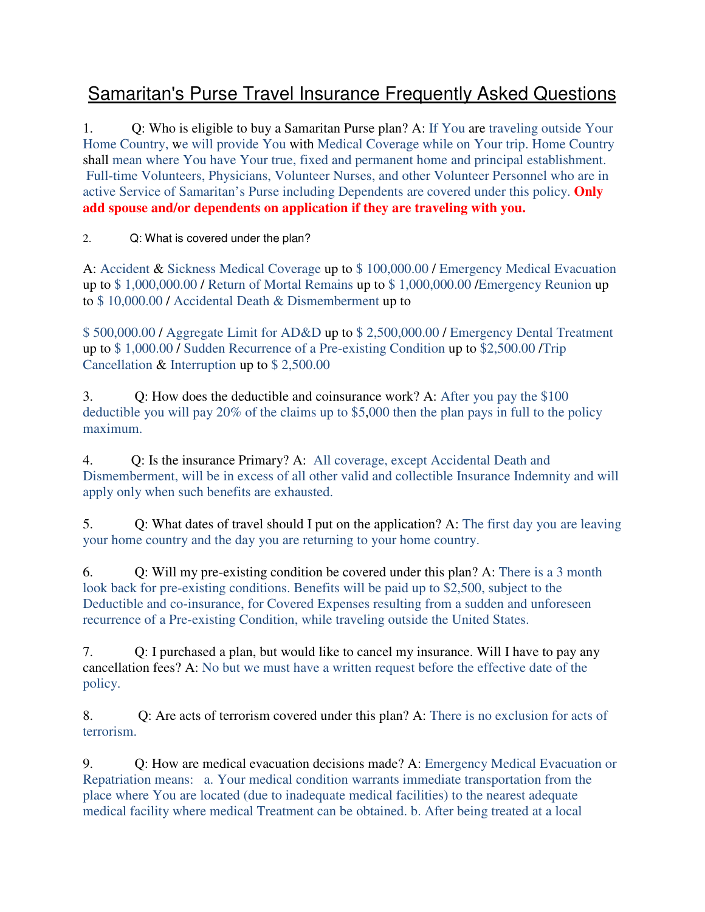## Samaritan's Purse Travel Insurance Frequently Asked Questions

1. Q: Who is eligible to buy a Samaritan Purse plan? A: If You are traveling outside Your Home Country, we will provide You with Medical Coverage while on Your trip. Home Country shall mean where You have Your true, fixed and permanent home and principal establishment. Full-time Volunteers, Physicians, Volunteer Nurses, and other Volunteer Personnel who are in active Service of Samaritan's Purse including Dependents are covered under this policy. **Only add spouse and/or dependents on application if they are traveling with you.**

2. Q: What is covered under the plan?

A: Accident & Sickness Medical Coverage up to \$ 100,000.00 / Emergency Medical Evacuation up to \$ 1,000,000.00 / Return of Mortal Remains up to \$ 1,000,000.00 /Emergency Reunion up to \$ 10,000.00 / Accidental Death & Dismemberment up to

\$ 500,000.00 / Aggregate Limit for AD&D up to \$ 2,500,000.00 / Emergency Dental Treatment up to \$ 1,000.00 / Sudden Recurrence of a Pre-existing Condition up to \$2,500.00 /Trip Cancellation & Interruption up to \$ 2,500.00

3. Q: How does the deductible and coinsurance work? A: After you pay the \$100 deductible you will pay 20% of the claims up to \$5,000 then the plan pays in full to the policy maximum.

4. Q: Is the insurance Primary? A: All coverage, except Accidental Death and Dismemberment, will be in excess of all other valid and collectible Insurance Indemnity and will apply only when such benefits are exhausted.

5. Q: What dates of travel should I put on the application? A: The first day you are leaving your home country and the day you are returning to your home country.

6. Q: Will my pre-existing condition be covered under this plan? A: There is a 3 month look back for pre-existing conditions. Benefits will be paid up to \$2,500, subject to the Deductible and co-insurance, for Covered Expenses resulting from a sudden and unforeseen recurrence of a Pre-existing Condition, while traveling outside the United States.

7. Q: I purchased a plan, but would like to cancel my insurance. Will I have to pay any cancellation fees? A: No but we must have a written request before the effective date of the policy.

8. Q: Are acts of terrorism covered under this plan? A: There is no exclusion for acts of terrorism.

9. Q: How are medical evacuation decisions made? A: Emergency Medical Evacuation or Repatriation means: a. Your medical condition warrants immediate transportation from the place where You are located (due to inadequate medical facilities) to the nearest adequate medical facility where medical Treatment can be obtained. b. After being treated at a local